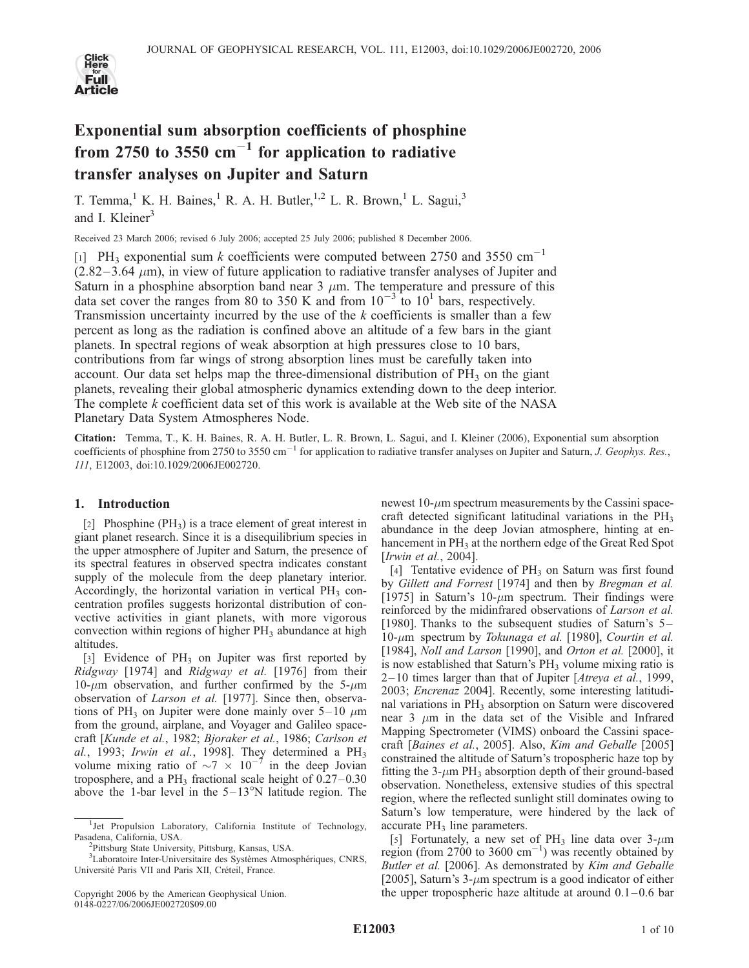

# Exponential sum absorption coefficients of phosphine from 2750 to 3550  $\text{cm}^{-1}$  for application to radiative transfer analyses on Jupiter and Saturn

T. Temma,<sup>1</sup> K. H. Baines,<sup>1</sup> R. A. H. Butler,<sup>1,2</sup> L. R. Brown,<sup>1</sup> L. Sagui,<sup>3</sup> and I. Kleiner<sup>3</sup>

Received 23 March 2006; revised 6 July 2006; accepted 25 July 2006; published 8 December 2006.

[1] PH<sub>3</sub> exponential sum k coefficients were computed between 2750 and 3550 cm<sup>-1</sup>  $(2.82-3.64 \mu m)$ , in view of future application to radiative transfer analyses of Jupiter and Saturn in a phosphine absorption band near 3  $\mu$ m. The temperature and pressure of this data set cover the ranges from 80 to 350 K and from  $10^{-3}$  to  $10^{1}$  bars, respectively. Transmission uncertainty incurred by the use of the  $k$  coefficients is smaller than a few percent as long as the radiation is confined above an altitude of a few bars in the giant planets. In spectral regions of weak absorption at high pressures close to 10 bars, contributions from far wings of strong absorption lines must be carefully taken into account. Our data set helps map the three-dimensional distribution of  $PH_3$  on the giant planets, revealing their global atmospheric dynamics extending down to the deep interior. The complete  $k$  coefficient data set of this work is available at the Web site of the NASA Planetary Data System Atmospheres Node.

Citation: Temma, T., K. H. Baines, R. A. H. Butler, L. R. Brown, L. Sagui, and I. Kleiner (2006), Exponential sum absorption coefficients of phosphine from 2750 to 3550 cm<sup>-1</sup> for application to radiative transfer analyses on Jupiter and Saturn, *J. Geophys. Res.*, 111, E12003, doi:10.1029/2006JE002720.

# 1. Introduction

[2] Phosphine  $(PH_3)$  is a trace element of great interest in giant planet research. Since it is a disequilibrium species in the upper atmosphere of Jupiter and Saturn, the presence of its spectral features in observed spectra indicates constant supply of the molecule from the deep planetary interior. Accordingly, the horizontal variation in vertical  $PH_3$  concentration profiles suggests horizontal distribution of convective activities in giant planets, with more vigorous convection within regions of higher  $PH<sub>3</sub>$  abundance at high altitudes.

[3] Evidence of  $PH_3$  on Jupiter was first reported by Ridgway [1974] and Ridgway et al. [1976] from their 10- $\mu$ m observation, and further confirmed by the 5- $\mu$ m observation of Larson et al. [1977]. Since then, observations of PH<sub>3</sub> on Jupiter were done mainly over  $5-10 \mu m$ from the ground, airplane, and Voyager and Galileo spacecraft [Kunde et al., 1982; Bjoraker et al., 1986; Carlson et al., 1993; Irwin et al., 1998]. They determined a  $PH_3$ volume mixing ratio of  $\sim 7 \times 10^{-7}$  in the deep Jovian troposphere, and a PH<sub>3</sub> fractional scale height of  $0.27-0.30$ above the 1-bar level in the  $5-13^{\circ}N$  latitude region. The

newest  $10$ - $\mu$ m spectrum measurements by the Cassini spacecraft detected significant latitudinal variations in the  $PH_3$ abundance in the deep Jovian atmosphere, hinting at enhancement in PH<sub>3</sub> at the northern edge of the Great Red Spot [Irwin et al., 2004].

[4] Tentative evidence of  $PH_3$  on Saturn was first found by Gillett and Forrest [1974] and then by Bregman et al. [1975] in Saturn's 10- $\mu$ m spectrum. Their findings were reinforced by the midinfrared observations of Larson et al. [1980]. Thanks to the subsequent studies of Saturn's 5- $10$ - $\mu$ m spectrum by Tokunaga et al. [1980], Courtin et al. [1984], *Noll and Larson* [1990], and *Orton et al.* [2000], it is now established that Saturn's  $PH_3$  volume mixing ratio is  $2-10$  times larger than that of Jupiter [Atreya et al., 1999, 2003; Encrenaz 2004]. Recently, some interesting latitudinal variations in PH<sub>3</sub> absorption on Saturn were discovered near  $3 \mu m$  in the data set of the Visible and Infrared Mapping Spectrometer (VIMS) onboard the Cassini spacecraft [Baines et al., 2005]. Also, Kim and Geballe [2005] constrained the altitude of Saturn's tropospheric haze top by fitting the 3- $\mu$ m PH<sub>3</sub> absorption depth of their ground-based observation. Nonetheless, extensive studies of this spectral region, where the reflected sunlight still dominates owing to Saturn's low temperature, were hindered by the lack of accurate  $PH_3$  line parameters.

[5] Fortunately, a new set of PH<sub>3</sub> line data over  $3-\mu m$ region (from 2700 to 3600  $\text{cm}^{-1}$ ) was recently obtained by Butler et al. [2006]. As demonstrated by Kim and Geballe [2005], Saturn's  $3-\mu m$  spectrum is a good indicator of either the upper tropospheric haze altitude at around  $0.1-0.6$  bar

<sup>&</sup>lt;sup>1</sup>Jet Propulsion Laboratory, California Institute of Technology, Pasadena, California, USA. <sup>2</sup>

<sup>&</sup>lt;sup>2</sup>Pittsburg State University, Pittsburg, Kansas, USA.

<sup>&</sup>lt;sup>3</sup>Laboratoire Inter-Universitaire des Systèmes Atmosphériques, CNRS, Université Paris VII and Paris XII, Créteil, France.

Copyright 2006 by the American Geophysical Union. 0148-0227/06/2006JE002720\$09.00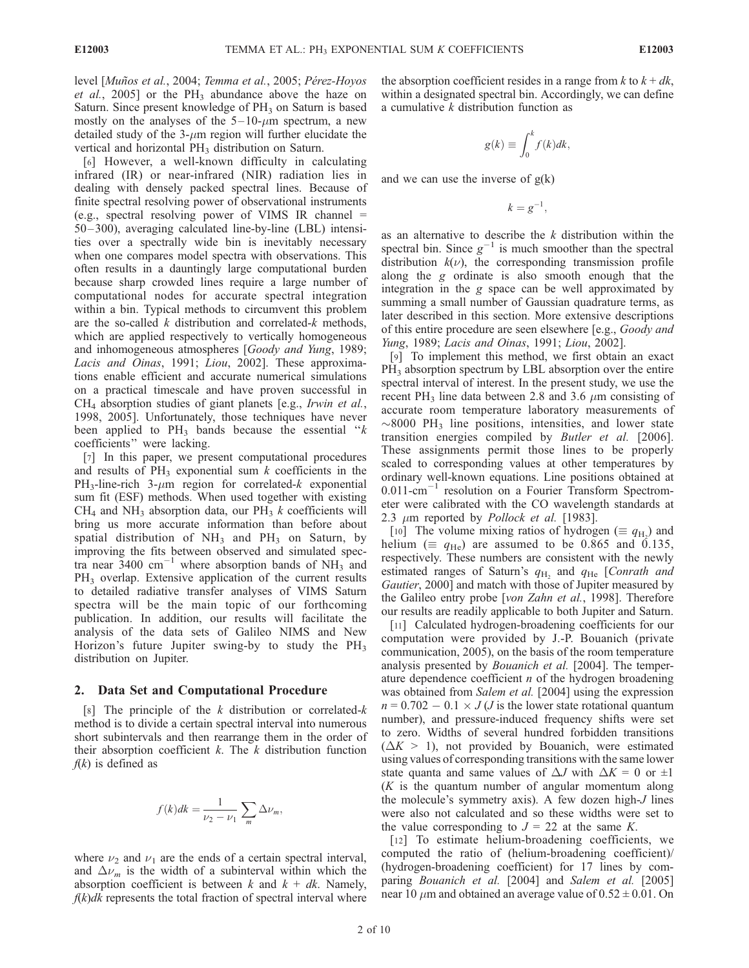level [Muños et al., 2004; Temma et al., 2005; Pérez-Hoyos et al., 2005] or the  $PH_3$  abundance above the haze on Saturn. Since present knowledge of  $PH<sub>3</sub>$  on Saturn is based mostly on the analyses of the  $5-10$ - $\mu$ m spectrum, a new detailed study of the  $3$ - $\mu$ m region will further elucidate the vertical and horizontal PH<sub>3</sub> distribution on Saturn.

[6] However, a well-known difficulty in calculating infrared (IR) or near-infrared (NIR) radiation lies in dealing with densely packed spectral lines. Because of finite spectral resolving power of observational instruments (e.g., spectral resolving power of VIMS IR channel  $=$ 50– 300), averaging calculated line-by-line (LBL) intensities over a spectrally wide bin is inevitably necessary when one compares model spectra with observations. This often results in a dauntingly large computational burden because sharp crowded lines require a large number of computational nodes for accurate spectral integration within a bin. Typical methods to circumvent this problem are the so-called  $k$  distribution and correlated- $k$  methods, which are applied respectively to vertically homogeneous and inhomogeneous atmospheres [Goody and Yung, 1989; Lacis and Oinas, 1991; Liou, 2002]. These approximations enable efficient and accurate numerical simulations on a practical timescale and have proven successful in CH4 absorption studies of giant planets [e.g., Irwin et al., 1998, 2005]. Unfortunately, those techniques have never been applied to  $PH_3$  bands because the essential " $k$ coefficients'' were lacking.

[7] In this paper, we present computational procedures and results of  $PH_3$  exponential sum k coefficients in the PH<sub>3</sub>-line-rich 3- $\mu$ m region for correlated-k exponential sum fit (ESF) methods. When used together with existing  $CH<sub>4</sub>$  and NH<sub>3</sub> absorption data, our PH<sub>3</sub> k coefficients will bring us more accurate information than before about spatial distribution of  $NH_3$  and  $PH_3$  on Saturn, by improving the fits between observed and simulated spectra near 3400 cm<sup>-1</sup> where absorption bands of NH<sub>3</sub> and PH<sub>3</sub> overlap. Extensive application of the current results to detailed radiative transfer analyses of VIMS Saturn spectra will be the main topic of our forthcoming publication. In addition, our results will facilitate the analysis of the data sets of Galileo NIMS and New Horizon's future Jupiter swing-by to study the PH<sub>3</sub> distribution on Jupiter.

### 2. Data Set and Computational Procedure

[8] The principle of the k distribution or correlated-k method is to divide a certain spectral interval into numerous short subintervals and then rearrange them in the order of their absorption coefficient  $k$ . The  $k$  distribution function  $f(k)$  is defined as

$$
f(k)dk = \frac{1}{\nu_2 - \nu_1} \sum_{m} \Delta \nu_m,
$$

where  $\nu_2$  and  $\nu_1$  are the ends of a certain spectral interval, and  $\Delta\nu_m$  is the width of a subinterval within which the absorption coefficient is between  $k$  and  $k + dk$ . Namely,  $f(k)dk$  represents the total fraction of spectral interval where the absorption coefficient resides in a range from  $k$  to  $k + dk$ , within a designated spectral bin. Accordingly, we can define a cumulative  $k$  distribution function as

$$
g(k) \equiv \int_0^k f(k)dk,
$$

and we can use the inverse of  $g(k)$ 

$$
k=g^{-1},
$$

as an alternative to describe the  $k$  distribution within the spectral bin. Since  $g^{-1}$  is much smoother than the spectral distribution  $k(v)$ , the corresponding transmission profile along the g ordinate is also smooth enough that the integration in the g space can be well approximated by summing a small number of Gaussian quadrature terms, as later described in this section. More extensive descriptions of this entire procedure are seen elsewhere [e.g., Goody and Yung, 1989; Lacis and Oinas, 1991; Liou, 2002].

[9] To implement this method, we first obtain an exact  $PH<sub>3</sub>$  absorption spectrum by LBL absorption over the entire spectral interval of interest. In the present study, we use the recent PH<sub>3</sub> line data between 2.8 and 3.6  $\mu$ m consisting of accurate room temperature laboratory measurements of  $\sim$ 8000 PH<sub>3</sub> line positions, intensities, and lower state transition energies compiled by Butler et al. [2006]. These assignments permit those lines to be properly scaled to corresponding values at other temperatures by ordinary well-known equations. Line positions obtained at  $0.011$ -cm<sup>-1</sup> resolution on a Fourier Transform Spectrometer were calibrated with the CO wavelength standards at 2.3  $\mu$ m reported by *Pollock et al.* [1983].

[10] The volume mixing ratios of hydrogen ( $\equiv q_{\rm H_2}$ ) and helium ( $\equiv q_{\text{He}}$ ) are assumed to be 0.865 and 0.135, respectively. These numbers are consistent with the newly estimated ranges of Saturn's  $q_{\text{H}_2}$  and  $q_{\text{He}}$  [Conrath and Gautier, 2000] and match with those of Jupiter measured by the Galileo entry probe [von Zahn et al., 1998]. Therefore our results are readily applicable to both Jupiter and Saturn.

[11] Calculated hydrogen-broadening coefficients for our computation were provided by J.-P. Bouanich (private communication, 2005), on the basis of the room temperature analysis presented by *Bouanich et al.* [2004]. The temperature dependence coefficient  $n$  of the hydrogen broadening was obtained from Salem et al. [2004] using the expression  $n = 0.702 - 0.1 \times J(J)$  is the lower state rotational quantum number), and pressure-induced frequency shifts were set to zero. Widths of several hundred forbidden transitions  $(\Delta K > 1)$ , not provided by Bouanich, were estimated using values of corresponding transitions with the same lower state quanta and same values of  $\Delta J$  with  $\Delta K = 0$  or  $\pm 1$  $(K$  is the quantum number of angular momentum along the molecule's symmetry axis). A few dozen high-J lines were also not calculated and so these widths were set to the value corresponding to  $J = 22$  at the same K.

[12] To estimate helium-broadening coefficients, we computed the ratio of (helium-broadening coefficient)/ (hydrogen-broadening coefficient) for 17 lines by comparing Bouanich et al. [2004] and Salem et al. [2005] near 10  $\mu$ m and obtained an average value of 0.52  $\pm$  0.01. On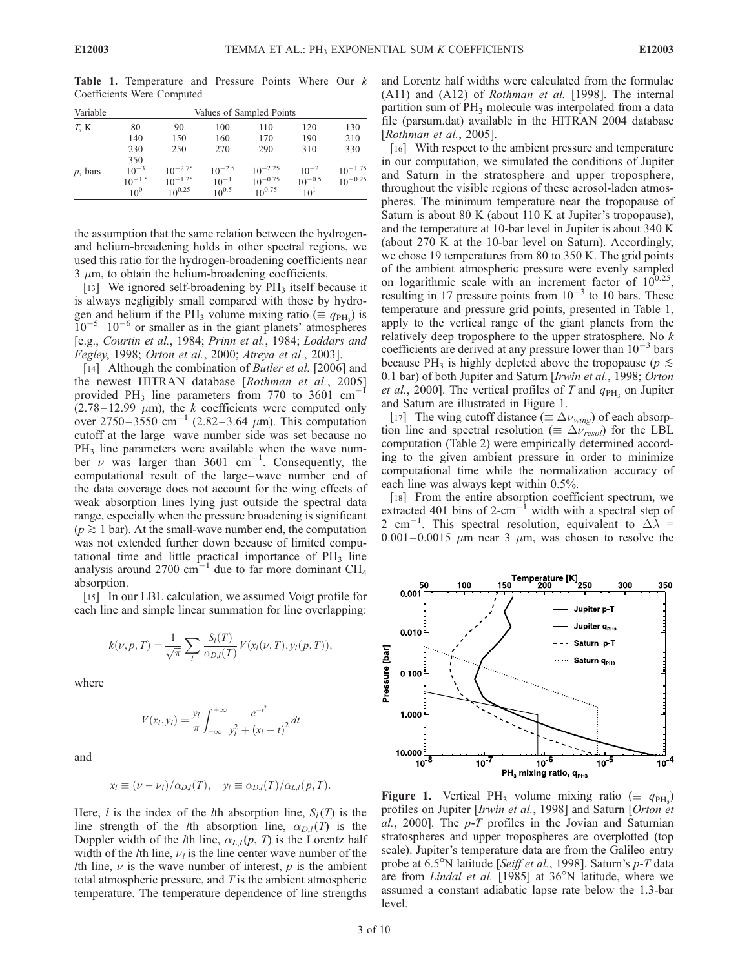| Variable   | Values of Sampled Points |              |             |              |             |              |
|------------|--------------------------|--------------|-------------|--------------|-------------|--------------|
| T, K       | 80                       | 90           | 100         | 110          | 120         | 130          |
|            | 140                      | 150          | 160         | 170          | 190         | 210          |
|            | 230                      | 250          | 270         | 290          | 310         | 330          |
|            | 350                      |              |             |              |             |              |
| $p$ , bars | $10^{-3}$                | $10^{-2.75}$ | $10^{-2.5}$ | $10^{-2.25}$ | $10^{-2}$   | $10^{-1.75}$ |
|            | $10^{-1.5}$              | $10^{-1.25}$ | $10^{-1}$   | $10^{-0.75}$ | $10^{-0.5}$ | $10^{-0.25}$ |
|            | $10^{0}$                 | $10^{0.25}$  | $10^{0.5}$  | $10^{0.75}$  | $10^{1}$    |              |

Table 1. Temperature and Pressure Points Where Our k Coefficients Were Computed

the assumption that the same relation between the hydrogenand helium-broadening holds in other spectral regions, we used this ratio for the hydrogen-broadening coefficients near  $3 \mu$ m, to obtain the helium-broadening coefficients.

[13] We ignored self-broadening by  $PH_3$  itself because it is always negligibly small compared with those by hydrogen and helium if the PH<sub>3</sub> volume mixing ratio ( $\equiv q_{\text{PH}_3}$ ) is  $10^{-5} - 10^{-6}$  or smaller as in the giant planets' atmospheres [e.g., Courtin et al., 1984; Prinn et al., 1984; Loddars and Fegley, 1998; Orton et al., 2000; Atreya et al., 2003].

[14] Although the combination of *Butler et al.* [2006] and the newest HITRAN database [Rothman et al., 2005] provided PH<sub>3</sub> line parameters from 770 to 3601 cm<sup>-</sup>  $(2.78 - 12.99 \mu m)$ , the k coefficients were computed only over 2750–3550 cm<sup>-1</sup> (2.82–3.64  $\mu$ m). This computation cutoff at the large–wave number side was set because no  $PH<sub>3</sub>$  line parameters were available when the wave number  $\nu$  was larger than 3601 cm<sup>-1</sup>. Consequently, the computational result of the large–wave number end of the data coverage does not account for the wing effects of weak absorption lines lying just outside the spectral data range, especially when the pressure broadening is significant  $(p \geq 1$  bar). At the small-wave number end, the computation was not extended further down because of limited computational time and little practical importance of  $PH_3$  line analysis around 2700 cm<sup>-1</sup> due to far more dominant CH<sub>4</sub> absorption.

[15] In our LBL calculation, we assumed Voigt profile for each line and simple linear summation for line overlapping:

$$
k(\nu, p, T) = \frac{1}{\sqrt{\pi}} \sum_{l} \frac{S_l(T)}{\alpha_{D,l}(T)} V(x_l(\nu, T), y_l(p, T)),
$$

where

$$
V(x_l, y_l) = \frac{y_l}{\pi} \int_{-\infty}^{+\infty} \frac{e^{-t^2}}{y_l^2 + (x_l - t)^2} dt
$$

and

$$
x_l \equiv (\nu - \nu_l)/\alpha_{D,l}(T), \quad y_l \equiv \alpha_{D,l}(T)/\alpha_{L,l}(p,T).
$$

Here, *l* is the index of the *l*th absorption line,  $S_l(T)$  is the line strength of the *l*th absorption line,  $\alpha_{D,l}(T)$  is the Doppler width of the *l*th line,  $\alpha_{L,l}(p, T)$  is the Lorentz half width of the *l*th line,  $\nu_l$  is the line center wave number of the Ith line,  $\nu$  is the wave number of interest, p is the ambient total atmospheric pressure, and T is the ambient atmospheric temperature. The temperature dependence of line strengths and Lorentz half widths were calculated from the formulae (A11) and (A12) of Rothman et al. [1998]. The internal partition sum of PH<sub>3</sub> molecule was interpolated from a data file (parsum.dat) available in the HITRAN 2004 database [Rothman et al., 2005].

[16] With respect to the ambient pressure and temperature in our computation, we simulated the conditions of Jupiter and Saturn in the stratosphere and upper troposphere, throughout the visible regions of these aerosol-laden atmospheres. The minimum temperature near the tropopause of Saturn is about 80 K (about 110 K at Jupiter's tropopause), and the temperature at 10-bar level in Jupiter is about 340 K (about 270 K at the 10-bar level on Saturn). Accordingly, we chose 19 temperatures from 80 to 350 K. The grid points of the ambient atmospheric pressure were evenly sampled on logarithmic scale with an increment factor of  $10^{0.25}$ resulting in 17 pressure points from  $10^{-3}$  to 10 bars. These temperature and pressure grid points, presented in Table 1, apply to the vertical range of the giant planets from the relatively deep troposphere to the upper stratosphere. No  $k$ coefficients are derived at any pressure lower than  $10^{-3}$  bars because PH<sub>3</sub> is highly depleted above the tropopause ( $p \leq$ 0.1 bar) of both Jupiter and Saturn [Irwin et al., 1998; Orton *et al.*, 2000]. The vertical profiles of T and  $q_{PH_2}$  on Jupiter and Saturn are illustrated in Figure 1.

[17] The wing cutoff distance ( $\equiv \Delta v_{wing}$ ) of each absorption line and spectral resolution ( $\equiv \Delta v_{resol}$ ) for the LBL computation (Table 2) were empirically determined according to the given ambient pressure in order to minimize computational time while the normalization accuracy of each line was always kept within 0.5%.

[18] From the entire absorption coefficient spectrum, we extracted 401 bins of  $2$ -cm<sup>-1</sup> width with a spectral step of 2 cm<sup>-1</sup>. This spectral resolution, equivalent to  $\Delta \lambda$  =  $0.001-0.0015$   $\mu$ m near 3  $\mu$ m, was chosen to resolve the



**Figure 1.** Vertical PH<sub>3</sub> volume mixing ratio ( $\equiv q_{\text{PH}_3}$ ) profiles on Jupiter [Irwin et al., 1998] and Saturn [Orton et al., 2000]. The  $p$ -T profiles in the Jovian and Saturnian stratospheres and upper tropospheres are overplotted (top scale). Jupiter's temperature data are from the Galileo entry probe at 6.5<sup>o</sup>N latitude [Seiff et al., 1998]. Saturn's p-T data are from *Lindal et al.* [1985] at  $36^{\circ}$ N latitude, where we assumed a constant adiabatic lapse rate below the 1.3-bar level.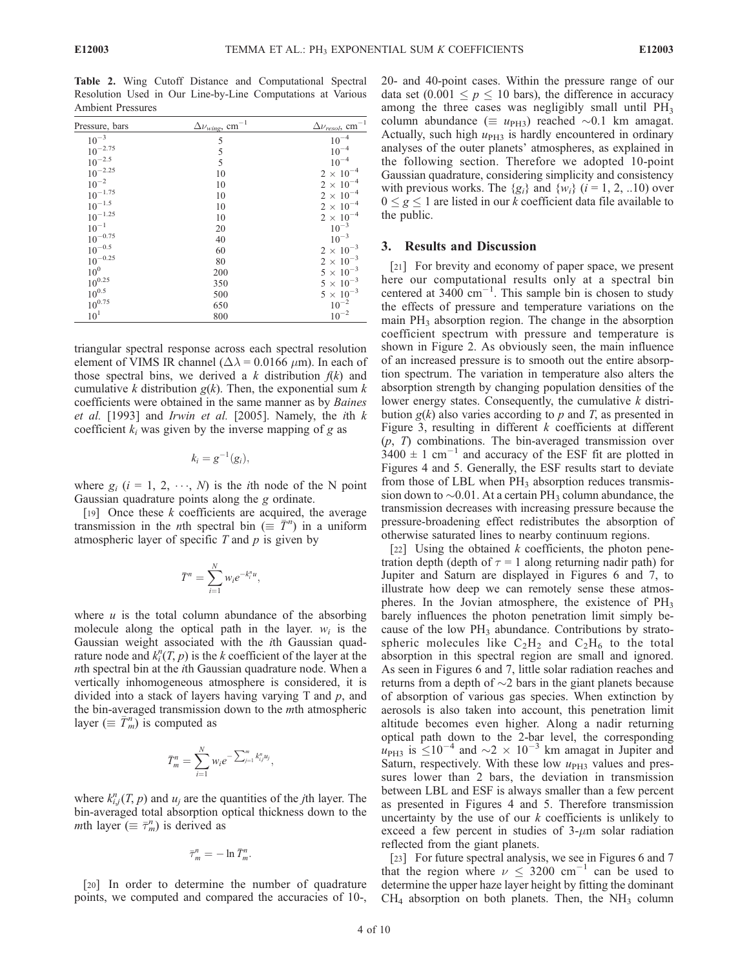Table 2. Wing Cutoff Distance and Computational Spectral Resolution Used in Our Line-by-Line Computations at Various Ambient Pressures

| Pressure, bars | $\Delta \nu_{wing}$ , cm <sup>-1</sup> | $\Delta \nu_{resol}$ , cm <sup>-1</sup> |
|----------------|----------------------------------------|-----------------------------------------|
| $10^{-3}$      | 5                                      | $10^{-4}\,$                             |
| $10^{-2.75}$   | 5                                      | $10^{-4}\,$                             |
| $10^{-2.5}\,$  | 5                                      | $10^{-4}$                               |
| $10^{-2.25}$   | 10                                     | $2\,\times\,10^{-4}$                    |
| $10^{-2}$      | 10                                     | $2\,\times\,10^{-4}$                    |
| $10^{-1.75}\,$ | 10                                     | $2\,\times\,10^{-4}$                    |
| $10^{-1.5}$    | 10                                     | $2 \times 10^{-4}$                      |
| $10^{-1.25}\,$ | 10                                     | $2\,\times\,10^{-4}$                    |
| $10^{-1}$      | 20                                     | $10^{-3}$                               |
| $10^{-0.75}\,$ | 40                                     | $10^{-3}$                               |
| $10^{-0.5}\,$  | 60                                     | $2\,\times\,10^{-3}$                    |
| $10^{-0.25}\,$ | 80                                     | $2\,\times\,10^{-3}$                    |
| $10^0$         | 200                                    | $5\,\times\,10^{-3}$                    |
| $10^{0.25}\,$  | 350                                    | $5\,\times\,10^{-3}$                    |
| $10^{0.5}\,$   | 500                                    | $5\,\times\,10^{-3}$                    |
| $10^{0.75}\,$  | 650                                    | $10^{-2}$                               |
| $10^1$         | 800                                    | $10^{-2}$                               |

triangular spectral response across each spectral resolution element of VIMS IR channel ( $\Delta \lambda$  = 0.0166  $\mu$ m). In each of those spectral bins, we derived a k distribution  $f(k)$  and cumulative k distribution  $g(k)$ . Then, the exponential sum k coefficients were obtained in the same manner as by Baines et al.  $[1993]$  and Irwin et al.  $[2005]$ . Namely, the ith  $k$ coefficient  $k_i$  was given by the inverse mapping of g as

$$
k_i = g^{-1}(g_i),
$$

where  $g_i$  ( $i = 1, 2, \dots, N$ ) is the *i*th node of the N point Gaussian quadrature points along the g ordinate.

[19] Once these  $k$  coefficients are acquired, the average transmission in the *n*th spectral bin ( $\equiv \bar{T}^n$ ) in a uniform atmospheric layer of specific  $T$  and  $p$  is given by

$$
\bar{T}^n = \sum_{i=1}^N w_i e^{-k_i^n u},
$$

where  $u$  is the total column abundance of the absorbing molecule along the optical path in the layer.  $w_i$  is the Gaussian weight associated with the ith Gaussian quadrature node and  $k_i^n(T, p)$  is the k coefficient of the layer at the nth spectral bin at the ith Gaussian quadrature node. When a vertically inhomogeneous atmosphere is considered, it is divided into a stack of layers having varying  $T$  and  $p$ , and the bin-averaged transmission down to the mth atmospheric layer  $(\equiv \overline{T}_m^n)$  is computed as

$$
\bar{T}_m^n = \sum_{i=1}^N w_i e^{-\sum_{j=1}^m k_{ij}^n u_j},
$$

where  $k_{i,j}^n(T, p)$  and  $u_j$  are the quantities of the *j*th layer. The bin-averaged total absorption optical thickness down to the *m*th layer ( $\equiv \overline{\tau}_m^n$ ) is derived as

$$
\bar{\tau}_m^n = -\ln \bar{T}_m^n.
$$

[20] In order to determine the number of quadrature points, we computed and compared the accuracies of 10-,

20- and 40-point cases. Within the pressure range of our data set  $(0.001 \le p \le 10$  bars), the difference in accuracy among the three cases was negligibly small until PH<sub>3</sub> column abundance ( $\equiv u_{\text{PH3}}$ ) reached  $\sim 0.1$  km amagat. Actually, such high  $u_{PH3}$  is hardly encountered in ordinary analyses of the outer planets' atmospheres, as explained in the following section. Therefore we adopted 10-point Gaussian quadrature, considering simplicity and consistency with previous works. The  $\{g_i\}$  and  $\{w_i\}$  ( $i = 1, 2, ...10$ ) over  $0 \le g \le 1$  are listed in our k coefficient data file available to the public.

#### 3. Results and Discussion

[21] For brevity and economy of paper space, we present here our computational results only at a spectral bin centered at  $3400 \text{ cm}^{-1}$ . This sample bin is chosen to study the effects of pressure and temperature variations on the main  $PH_3$  absorption region. The change in the absorption coefficient spectrum with pressure and temperature is shown in Figure 2. As obviously seen, the main influence of an increased pressure is to smooth out the entire absorption spectrum. The variation in temperature also alters the absorption strength by changing population densities of the lower energy states. Consequently, the cumulative  $k$  distribution  $g(k)$  also varies according to p and T, as presented in Figure 3, resulting in different  $k$  coefficients at different  $(p, T)$  combinations. The bin-averaged transmission over  $3400 \pm 1$  cm<sup>-1</sup> and accuracy of the ESF fit are plotted in Figures 4 and 5. Generally, the ESF results start to deviate from those of LBL when  $PH_3$  absorption reduces transmission down to  $\sim 0.01$ . At a certain PH<sub>3</sub> column abundance, the transmission decreases with increasing pressure because the pressure-broadening effect redistributes the absorption of otherwise saturated lines to nearby continuum regions.

[22] Using the obtained  $k$  coefficients, the photon penetration depth (depth of  $\tau = 1$  along returning nadir path) for Jupiter and Saturn are displayed in Figures 6 and 7, to illustrate how deep we can remotely sense these atmospheres. In the Jovian atmosphere, the existence of  $PH_3$ barely influences the photon penetration limit simply because of the low  $PH_3$  abundance. Contributions by stratospheric molecules like  $C_2H_2$  and  $C_2H_6$  to the total absorption in this spectral region are small and ignored. As seen in Figures 6 and 7, little solar radiation reaches and returns from a depth of  $\sim$ 2 bars in the giant planets because of absorption of various gas species. When extinction by aerosols is also taken into account, this penetration limit altitude becomes even higher. Along a nadir returning optical path down to the 2-bar level, the corresponding  $u_{\text{PH3}}$  is  $\leq 10^{-4}$  and  $\sim$ 2  $\times$  10<sup>-3</sup> km amagat in Jupiter and Saturn, respectively. With these low  $u_{\text{PH3}}$  values and pressures lower than 2 bars, the deviation in transmission between LBL and ESF is always smaller than a few percent as presented in Figures 4 and 5. Therefore transmission uncertainty by the use of our  $k$  coefficients is unlikely to exceed a few percent in studies of  $3-\mu m$  solar radiation reflected from the giant planets.

[23] For future spectral analysis, we see in Figures 6 and 7 that the region where  $\nu \leq 3200$  cm<sup>-1</sup> can be used to determine the upper haze layer height by fitting the dominant  $CH<sub>4</sub>$  absorption on both planets. Then, the NH<sub>3</sub> column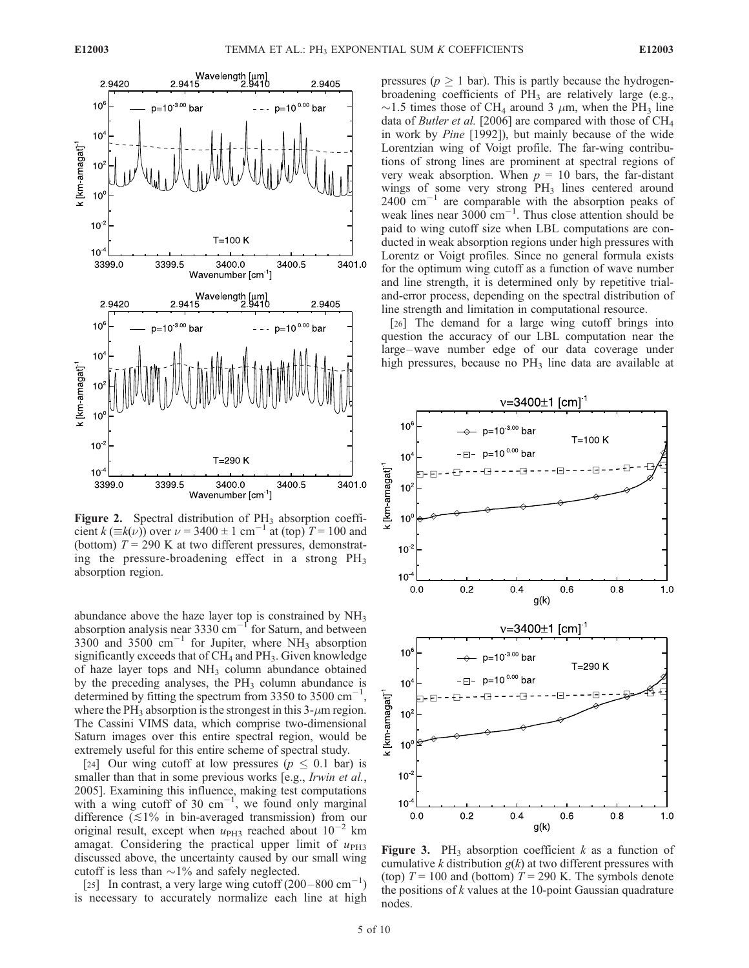

Figure 2. Spectral distribution of  $PH_3$  absorption coefficient k ( $\equiv k(\nu)$ ) over  $\nu = 3400 \pm 1$  cm<sup>-1</sup> at (top)  $T = 100$  and (bottom)  $T = 290$  K at two different pressures, demonstrating the pressure-broadening effect in a strong  $PH_3$ absorption region.

abundance above the haze layer top is constrained by  $NH<sub>3</sub>$ absorption analysis near 3330  $cm^{-1}$  for Saturn, and between 3300 and 3500  $\text{cm}^{-1}$  for Jupiter, where NH<sub>3</sub> absorption significantly exceeds that of  $CH_4$  and  $PH_3$ . Given knowledge of haze layer tops and  $NH_3$  column abundance obtained by the preceding analyses, the  $PH_3$  column abundance is determined by fitting the spectrum from  $3350$  to  $3500 \text{ cm}^{-1}$ , where the PH<sub>3</sub> absorption is the strongest in this  $3-\mu m$  region. The Cassini VIMS data, which comprise two-dimensional Saturn images over this entire spectral region, would be extremely useful for this entire scheme of spectral study.

[24] Our wing cutoff at low pressures ( $p \leq 0.1$  bar) is smaller than that in some previous works [e.g., *Irwin et al.*, 2005]. Examining this influence, making test computations with a wing cutoff of 30  $\text{cm}^{-1}$ , we found only marginal difference  $(\leq 1\%$  in bin-averaged transmission) from our original result, except when  $u_{\text{PH3}}$  reached about  $10^{-2}$  km amagat. Considering the practical upper limit of  $u_{\text{PH3}}$ discussed above, the uncertainty caused by our small wing cutoff is less than  $\sim$ 1% and safely neglected.

[25] In contrast, a very large wing cutoff  $(200 - 800 \text{ cm}^{-1})$ is necessary to accurately normalize each line at high pressures ( $p \geq 1$  bar). This is partly because the hydrogenbroadening coefficients of  $PH_3$  are relatively large (e.g.,  $\sim$ 1.5 times those of CH<sub>4</sub> around 3  $\mu$ m, when the PH<sub>3</sub> line data of *Butler et al.* [2006] are compared with those of  $CH<sub>4</sub>$ in work by Pine [1992]), but mainly because of the wide Lorentzian wing of Voigt profile. The far-wing contributions of strong lines are prominent at spectral regions of very weak absorption. When  $p = 10$  bars, the far-distant wings of some very strong PH<sub>3</sub> lines centered around  $2400 \text{ cm}^{-1}$  are comparable with the absorption peaks of weak lines near  $3000 \text{ cm}^{-1}$ . Thus close attention should be paid to wing cutoff size when LBL computations are conducted in weak absorption regions under high pressures with Lorentz or Voigt profiles. Since no general formula exists for the optimum wing cutoff as a function of wave number and line strength, it is determined only by repetitive trialand-error process, depending on the spectral distribution of line strength and limitation in computational resource.

[26] The demand for a large wing cutoff brings into question the accuracy of our LBL computation near the large –wave number edge of our data coverage under high pressures, because no  $PH_3$  line data are available at



**Figure 3.** PH<sub>3</sub> absorption coefficient k as a function of cumulative k distribution  $g(k)$  at two different pressures with (top)  $T = 100$  and (bottom)  $T = 290$  K. The symbols denote the positions of  $k$  values at the 10-point Gaussian quadrature nodes.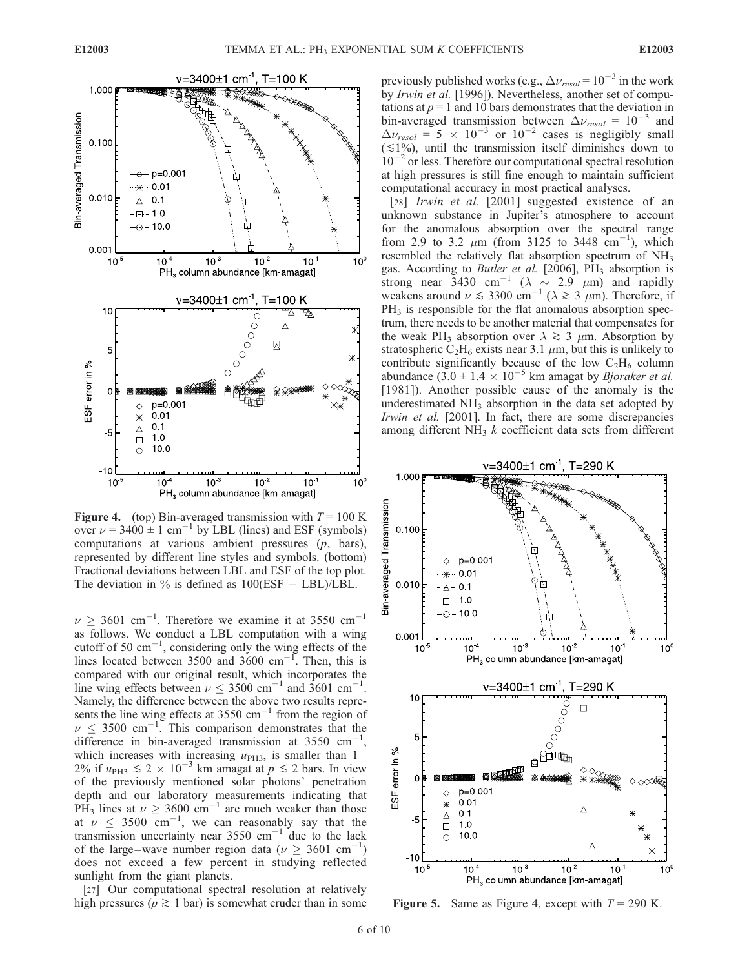

Figure 4. (top) Bin-averaged transmission with  $T = 100$  K over  $\nu$  = 3400  $\pm$  1 cm<sup>-1</sup> by LBL (lines) and ESF (symbols) computations at various ambient pressures  $(p, bars)$ , represented by different line styles and symbols. (bottom) Fractional deviations between LBL and ESF of the top plot. The deviation in  $\%$  is defined as  $100(ESF - LBL)/LBL$ .

 $\nu \geq 3601$  cm<sup>-1</sup>. Therefore we examine it at 3550 cm<sup>-1</sup> as follows. We conduct a LBL computation with a wing cutoff of 50  $\text{cm}^{-1}$ , considering only the wing effects of the lines located between 3500 and 3600 cm<sup>-1</sup>. Then, this is compared with our original result, which incorporates the line wing effects between  $\nu \leq 3500 \text{ cm}^{-1}$  and  $3601 \text{ cm}^{-1}$ . Namely, the difference between the above two results represents the line wing effects at  $3550 \text{ cm}^{-1}$  from the region of  $\nu \leq 3500 \text{ cm}^{-1}$ . This comparison demonstrates that the difference in bin-averaged transmission at 3550  $cm^{-1}$ , which increases with increasing  $u_{\text{PH3}}$ , is smaller than 1– 2% if  $u_{\text{PH3}} \leq 2 \times 10^{-3}$  km amagat at  $p \leq 2$  bars. In view of the previously mentioned solar photons' penetration depth and our laboratory measurements indicating that PH<sub>3</sub> lines at  $\nu \geq 3600 \text{ cm}^{-1}$  are much weaker than those at  $\nu \leq 3500$  cm<sup>-1</sup>, we can reasonably say that the transmission uncertainty near  $3550 \text{ cm}^{-1}$  due to the lack of the large–wave number region data ( $\nu \geq 3601 \text{ cm}^{-1}$ ) does not exceed a few percent in studying reflected sunlight from the giant planets.

[27] Our computational spectral resolution at relatively high pressures ( $p \ge 1$  bar) is somewhat cruder than in some previously published works (e.g.,  $\Delta v_{\text{resol}} = 10^{-3}$  in the work by Irwin et al. [1996]). Nevertheless, another set of computations at  $p = 1$  and 10 bars demonstrates that the deviation in bin-averaged transmission between  $\Delta v_{resol} = 10^{-3}$  and  $\Delta \nu_{resol} = 5 \times 10^{-3}$  or  $10^{-2}$  cases is negligibly small  $(\leq 1\%)$ , until the transmission itself diminishes down to  $10^{-2}$  or less. Therefore our computational spectral resolution at high pressures is still fine enough to maintain sufficient computational accuracy in most practical analyses.

[28] Irwin et al. [2001] suggested existence of an unknown substance in Jupiter's atmosphere to account for the anomalous absorption over the spectral range from 2.9 to 3.2  $\mu$ m (from 3125 to 3448 cm<sup>-1</sup>), which resembled the relatively flat absorption spectrum of NH<sub>3</sub> gas. According to Butler et al. [2006], PH<sub>3</sub> absorption is strong near 3430 cm<sup>-1</sup> ( $\lambda \sim 2.9$   $\mu$ m) and rapidly weakens around  $\nu \lesssim 3300 \text{ cm}^{-1}$  ( $\lambda \gtrsim 3 \mu \text{m}$ ). Therefore, if  $PH<sub>3</sub>$  is responsible for the flat anomalous absorption spectrum, there needs to be another material that compensates for the weak PH<sub>3</sub> absorption over  $\lambda \gtrsim 3 \mu$ m. Absorption by stratospheric  $C_2H_6$  exists near 3.1  $\mu$ m, but this is unlikely to contribute significantly because of the low  $C_2H_6$  column abundance  $(3.0 \pm 1.4 \times 10^{-5}$  km amagat by *Bjoraker et al.* [1981]). Another possible cause of the anomaly is the underestimated NH<sub>3</sub> absorption in the data set adopted by Irwin et al. [2001]. In fact, there are some discrepancies among different  $NH<sub>3</sub>$  k coefficient data sets from different



**Figure 5.** Same as Figure 4, except with  $T = 290$  K.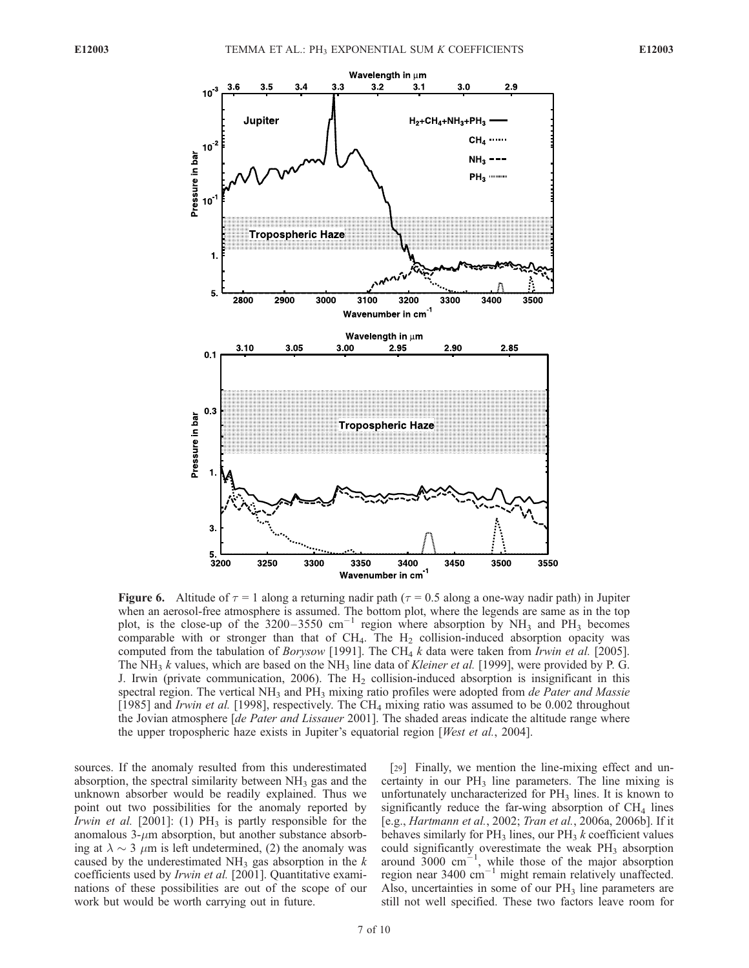

**Figure 6.** Altitude of  $\tau = 1$  along a returning nadir path ( $\tau = 0.5$  along a one-way nadir path) in Jupiter when an aerosol-free atmosphere is assumed. The bottom plot, where the legends are same as in the top plot, is the close-up of the 3200-3550 cm<sup>-1</sup> region where absorption by  $NH_3$  and  $PH_3$  becomes comparable with or stronger than that of  $CH_4$ . The  $H_2$  collision-induced absorption opacity was computed from the tabulation of *Borysow* [1991]. The CH<sub>4</sub> k data were taken from *Irwin et al.* [2005]. The NH<sub>3</sub> k values, which are based on the NH<sub>3</sub> line data of Kleiner et al. [1999], were provided by P. G. J. Irwin (private communication, 2006). The  $H<sub>2</sub>$  collision-induced absorption is insignificant in this spectral region. The vertical  $NH<sub>3</sub>$  and  $PH<sub>3</sub>$  mixing ratio profiles were adopted from *de Pater and Massie* [1985] and *Irwin et al.* [1998], respectively. The CH<sub>4</sub> mixing ratio was assumed to be 0.002 throughout the Jovian atmosphere *[de Pater and Lissauer* 2001]. The shaded areas indicate the altitude range where the upper tropospheric haze exists in Jupiter's equatorial region [West et al., 2004].

sources. If the anomaly resulted from this underestimated absorption, the spectral similarity between  $NH<sub>3</sub>$  gas and the unknown absorber would be readily explained. Thus we point out two possibilities for the anomaly reported by *Irwin et al.* [2001]: (1)  $PH_3$  is partly responsible for the anomalous  $3-\mu m$  absorption, but another substance absorbing at  $\lambda \sim 3$   $\mu$ m is left undetermined, (2) the anomaly was caused by the underestimated  $NH_3$  gas absorption in the k coefficients used by Irwin et al. [2001]. Quantitative examinations of these possibilities are out of the scope of our work but would be worth carrying out in future.

[29] Finally, we mention the line-mixing effect and uncertainty in our  $PH_3$  line parameters. The line mixing is unfortunately uncharacterized for  $PH_3$  lines. It is known to significantly reduce the far-wing absorption of  $CH<sub>4</sub>$  lines [e.g., Hartmann et al., 2002; Tran et al., 2006a, 2006b]. If it behaves similarly for  $PH_3$  lines, our  $PH_3$  k coefficient values could significantly overestimate the weak  $PH<sub>3</sub>$  absorption around  $3000 \text{ cm}^{-1}$ , while those of the major absorption region near  $3400 \text{ cm}^{-1}$  might remain relatively unaffected. Also, uncertainties in some of our  $PH_3$  line parameters are still not well specified. These two factors leave room for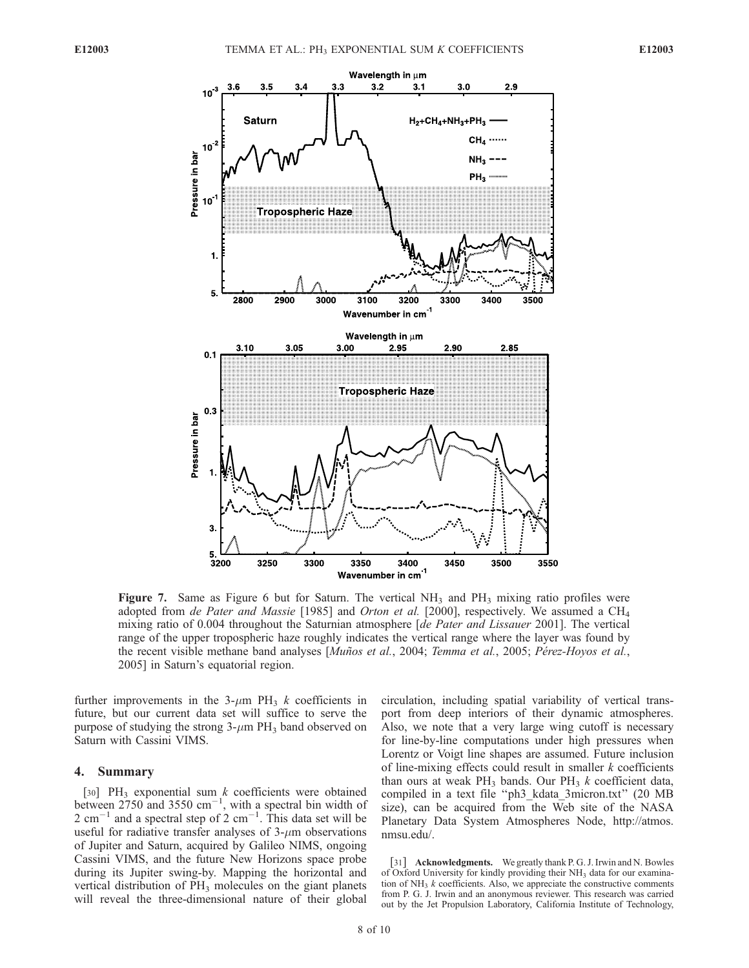

**Figure 7.** Same as Figure 6 but for Saturn. The vertical  $NH_3$  and  $PH_3$  mixing ratio profiles were adopted from de Pater and Massie [1985] and Orton et al. [2000], respectively. We assumed a CH<sub>4</sub> mixing ratio of 0.004 throughout the Saturnian atmosphere [de Pater and Lissauer 2001]. The vertical range of the upper tropospheric haze roughly indicates the vertical range where the layer was found by the recent visible methane band analyses [Muños et al., 2004; Temma et al., 2005; Pérez-Hoyos et al., 2005] in Saturn's equatorial region.

further improvements in the 3- $\mu$ m PH<sub>3</sub> k coefficients in future, but our current data set will suffice to serve the purpose of studying the strong  $3-\mu m$  PH<sub>3</sub> band observed on Saturn with Cassini VIMS.

## 4. Summary

[30] PH<sub>3</sub> exponential sum  $k$  coefficients were obtained between  $2750$  and  $3550 \text{ cm}^{-1}$ , with a spectral bin width of 2 cm<sup>-1</sup> and a spectral step of 2 cm<sup>-1</sup>. This data set will be useful for radiative transfer analyses of  $3$ - $\mu$ m observations of Jupiter and Saturn, acquired by Galileo NIMS, ongoing Cassini VIMS, and the future New Horizons space probe during its Jupiter swing-by. Mapping the horizontal and vertical distribution of PH<sub>3</sub> molecules on the giant planets will reveal the three-dimensional nature of their global circulation, including spatial variability of vertical transport from deep interiors of their dynamic atmospheres. Also, we note that a very large wing cutoff is necessary for line-by-line computations under high pressures when Lorentz or Voigt line shapes are assumed. Future inclusion of line-mixing effects could result in smaller  $k$  coefficients than ours at weak  $PH_3$  bands. Our  $PH_3$  k coefficient data, compiled in a text file ''ph3\_kdata\_3micron.txt'' (20 MB size), can be acquired from the Web site of the NASA Planetary Data System Atmospheres Node, http://atmos. nmsu.edu/.

[31] Acknowledgments. We greatly thank P. G. J. Irwin and N. Bowles of Oxford University for kindly providing their NH<sub>3</sub> data for our examination of  $NH<sub>3</sub>$  k coefficients. Also, we appreciate the constructive comments from P. G. J. Irwin and an anonymous reviewer. This research was carried out by the Jet Propulsion Laboratory, California Institute of Technology,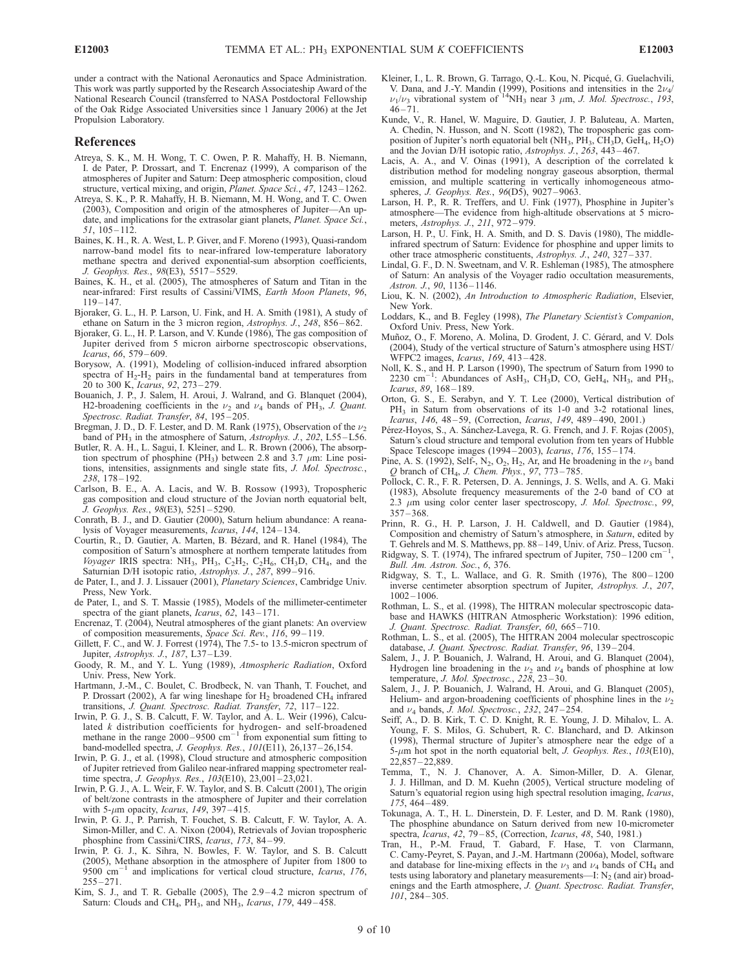under a contract with the National Aeronautics and Space Administration. This work was partly supported by the Research Associateship Award of the National Research Council (transferred to NASA Postdoctoral Fellowship of the Oak Ridge Associated Universities since 1 January 2006) at the Jet Propulsion Laboratory.

#### References

- Atreya, S. K., M. H. Wong, T. C. Owen, P. R. Mahaffy, H. B. Niemann, I. de Pater, P. Drossart, and T. Encrenaz (1999), A comparison of the atmospheres of Jupiter and Saturn: Deep atmospheric composition, cloud structure, vertical mixing, and origin, Planet. Space Sci., 47, 1243 – 1262.
- Atreya, S. K., P. R. Mahaffy, H. B. Niemann, M. H. Wong, and T. C. Owen (2003), Composition and origin of the atmospheres of Jupiter—An update, and implications for the extrasolar giant planets, Planet. Space Sci.,  $51, 105 - 112.$
- Baines, K. H., R. A. West, L. P. Giver, and F. Moreno (1993), Quasi-random narrow-band model fits to near-infrared low-temperature laboratory methane spectra and derived exponential-sum absorption coefficients, J. Geophys. Res., 98(E3), 5517-5529.
- Baines, K. H., et al. (2005), The atmospheres of Saturn and Titan in the near-infrared: First results of Cassini/VIMS, Earth Moon Planets, 96, 119 – 147.
- Bjoraker, G. L., H. P. Larson, U. Fink, and H. A. Smith (1981), A study of ethane on Saturn in the 3 micron region, Astrophys. J., 248, 856-862.
- Bjoraker, G. L., H. P. Larson, and V. Kunde (1986), The gas composition of Jupiter derived from 5 micron airborne spectroscopic observations, Icarus, 66, 579 – 609.
- Borysow, A. (1991), Modeling of collision-induced infrared absorption spectra of  $H_2-H_2$  pairs in the fundamental band at temperatures from 20 to 300 K, Icarus, 92, 273 – 279.
- Bouanich, J. P., J. Salem, H. Aroui, J. Walrand, and G. Blanquet (2004), H2-broadening coefficients in the  $\nu_2$  and  $\nu_4$  bands of PH<sub>3</sub>, J. Quant. Spectrosc. Radiat. Transfer, 84, 195-205.
- Bregman, J. D., D. F. Lester, and D. M. Rank (1975), Observation of the  $\nu_2$ band of PH<sub>3</sub> in the atmosphere of Saturn, Astrophys. J., 202, L55-L56.
- Butler, R. A. H., L. Sagui, I. Kleiner, and L. R. Brown (2006), The absorption spectrum of phosphine (PH<sub>3</sub>) between 2.8 and 3.7  $\mu$ m: Line positions, intensities, assignments and single state fits, *J. Mol. Spectrosc.*, 238, 178 – 192.
- Carlson, B. E., A. A. Lacis, and W. B. Rossow (1993), Tropospheric gas composition and cloud structure of the Jovian north equatorial belt, J. Geophys. Res., 98(E3), 5251 – 5290.
- Conrath, B. J., and D. Gautier (2000), Saturn helium abundance: A reanalysis of Voyager measurements, Icarus, 144, 124-134.
- Courtin, R., D. Gautier, A. Marten, B. Bézard, and R. Hanel (1984), The composition of Saturn's atmosphere at northern temperate latitudes from Voyager IRIS spectra: NH<sub>3</sub>, PH<sub>3</sub>, C<sub>2</sub>H<sub>2</sub>, C<sub>2</sub>H<sub>6</sub>, CH<sub>3</sub>D, CH<sub>4</sub>, and the Saturnian D/H isotopic ratio, Astrophys. J., 287, 899-916.
- de Pater, I., and J. J. Lissauer (2001), Planetary Sciences, Cambridge Univ. Press, New York.
- de Pater, I., and S. T. Massie (1985), Models of the millimeter-centimeter spectra of the giant planets, Icarus, 62, 143-171.
- Encrenaz, T. (2004), Neutral atmospheres of the giant planets: An overview of composition measurements, Space Sci. Rev., 116, 99 – 119.
- Gillett, F. C., and W. J. Forrest (1974), The 7.5- to 13.5-micron spectrum of Jupiter, Astrophys. J., 187, L37 –L39.
- Goody, R. M., and Y. L. Yung (1989), Atmospheric Radiation, Oxford Univ. Press, New York.
- Hartmann, J.-M., C. Boulet, C. Brodbeck, N. van Thanh, T. Fouchet, and P. Drossart (2002), A far wing lineshape for  $H_2$  broadened CH<sub>4</sub> infrared transitions, J. Quant. Spectrosc. Radiat. Transfer, 72, 117-122
- Irwin, P. G. J., S. B. Calcutt, F. W. Taylor, and A. L. Weir (1996), Calculated k distribution coefficients for hydrogen- and self-broadened methane in the range  $2000 - 9500$  cm<sup>-1</sup> from exponential sum fitting to band-modelled spectra, J. Geophys. Res., 101(E11), 26,137-26,154
- Irwin, P. G. J., et al. (1998), Cloud structure and atmospheric composition of Jupiter retrieved from Galileo near-infrared mapping spectrometer realtime spectra, *J. Geophys. Res.*, 103(E10), 23,001-23,021.
- Irwin, P. G. J., A. L. Weir, F. W. Taylor, and S. B. Calcutt (2001), The origin of belt/zone contrasts in the atmosphere of Jupiter and their correlation with 5- $\mu$ m opacity, Icarus, 149, 397-415.
- Irwin, P. G. J., P. Parrish, T. Fouchet, S. B. Calcutt, F. W. Taylor, A. A. Simon-Miller, and C. A. Nixon (2004), Retrievals of Jovian tropospheric phosphine from Cassini/CIRS, Icarus, 173, 84-99.
- Irwin, P. G. J., K. Sihra, N. Bowles, F. W. Taylor, and S. B. Calcutt (2005), Methane absorption in the atmosphere of Jupiter from 1800 to 9500  $\text{cm}^{-1}$  and implications for vertical cloud structure, *Icarus*, 176,  $255 - 271$ .
- Kim, S. J., and T. R. Geballe (2005), The 2.9-4.2 micron spectrum of Saturn: Clouds and CH<sub>4</sub>, PH<sub>3</sub>, and NH<sub>3</sub>, *Icarus*,  $179$ ,  $449-458$ .
- Kleiner, I., L. R. Brown, G. Tarrago, Q.-L. Kou, N. Picqué, G. Guelachvili, V. Dana, and J.-Y. Mandin (1999), Positions and intensities in the  $2\nu_4$ /  $\nu_1/\nu_3$  vibrational system of <sup>14</sup>NH<sub>3</sub> near 3  $\mu$ m, J. Mol. Spectrosc., 193,  $46 - 71.$
- Kunde, V., R. Hanel, W. Maguire, D. Gautier, J. P. Baluteau, A. Marten, A. Chedin, N. Husson, and N. Scott (1982), The tropospheric gas composition of Jupiter's north equatorial belt ( $NH<sub>3</sub>$ ,  $PH<sub>3</sub>$ ,  $CH<sub>3</sub>D$ ,  $GeH<sub>4</sub>$ ,  $H<sub>2</sub>O$ ) and the Jovian D/H isotopic ratio, Astrophys. J., 263, 443 – 467.
- Lacis, A. A., and V. Oinas (1991), A description of the correlated k distribution method for modeling nongray gaseous absorption, thermal emission, and multiple scattering in vertically inhomogeneous atmospheres, *J. Geophys. Res.*, 96(D5), 9027-9063.
- Larson, H. P., R. R. Treffers, and U. Fink (1977), Phosphine in Jupiter's atmosphere—The evidence from high-altitude observations at 5 micrometers, Astrophys. J., 211, 972–979.
- Larson, H. P., U. Fink, H. A. Smith, and D. S. Davis (1980), The middleinfrared spectrum of Saturn: Evidence for phosphine and upper limits to other trace atmospheric constituents, Astrophys. J., 240, 327 – 337.
- Lindal, G. F., D. N. Sweetnam, and V. R. Eshleman (1985), The atmosphere of Saturn: An analysis of the Voyager radio occultation measurements, Astron. J., 90, 1136-1146.
- Liou, K. N. (2002), An Introduction to Atmospheric Radiation, Elsevier, New York.
- Loddars, K., and B. Fegley (1998), The Planetary Scientist's Companion, Oxford Univ. Press, New York.
- Muñoz, O., F. Moreno, A. Molina, D. Grodent, J. C. Gérard, and V. Dols (2004), Study of the vertical structure of Saturn's atmosphere using HST/ WFPC2 images, Icarus, 169, 413 – 428.
- Noll, K. S., and H. P. Larson (1990), The spectrum of Saturn from 1990 to 2230 cm<sup>-1</sup>: Abundances of AsH<sub>3</sub>, CH<sub>3</sub>D, CO, GeH<sub>4</sub>, NH<sub>3</sub>, and PH<sub>3</sub>, Icarus, 89, 168-189.
- Orton, G. S., E. Serabyn, and Y. T. Lee (2000), Vertical distribution of PH<sub>3</sub> in Saturn from observations of its 1-0 and 3-2 rotational lines, Icarus, 146, 48 – 59, (Correction, Icarus, 149, 489 – 490, 2001.)
- Pérez-Hoyos, S., A. Sánchez-Lavega, R. G. French, and J. F. Rojas (2005), Saturn's cloud structure and temporal evolution from ten years of Hubble Space Telescope images (1994-2003), Icarus, 176, 155-174.
- Pine, A. S. (1992), Self-,  $N_2$ ,  $O_2$ ,  $H_2$ , Ar, and He broadening in the  $\nu_3$  band
- Q branch of CH<sub>4</sub>, *J. Chem. Phys.*, 97, 773–785.<br>Pollock, C. R., F. R. Petersen, D. A. Jennings, J. S. Wells, and A. G. Maki (1983), Absolute frequency measurements of the 2-0 band of CO at  $2.3 \mu m$  using color center laser spectroscopy, J. Mol. Spectrosc., 99,  $357 - 368$ .
- Prinn, R. G., H. P. Larson, J. H. Caldwell, and D. Gautier (1984), Composition and chemistry of Saturn's atmosphere, in Saturn, edited by T. Gehrels and M. S. Matthews, pp. 88 – 149, Univ. of Ariz. Press, Tucson.
- Ridgway, S. T. (1974), The infrared spectrum of Jupiter,  $750-1200$  cm<sup>-1</sup>, Bull. Am. Astron. Soc., 6, 376.
- Ridgway, S. T., L. Wallace, and G. R. Smith  $(1976)$ , The  $800-1200$ inverse centimeter absorption spectrum of Jupiter, Astrophys. J., 207, 1002 – 1006.
- Rothman, L. S., et al. (1998), The HITRAN molecular spectroscopic database and HAWKS (HITRAN Atmospheric Workstation): 1996 edition, J. Quant. Spectrosc. Radiat. Transfer, 60, 665 – 710.
- Rothman, L. S., et al. (2005), The HITRAN 2004 molecular spectroscopic database, J. Quant. Spectrosc. Radiat. Transfer, 96, 139-204.
- Salem, J., J. P. Bouanich, J. Walrand, H. Aroui, and G. Blanquet (2004), Hydrogen line broadening in the  $\nu_2$  and  $\nu_4$  bands of phosphine at low temperature, J. Mol. Spectrosc., 228, 23-30.
- Salem, J., J. P. Bouanich, J. Walrand, H. Aroui, and G. Blanquet (2005), Helium- and argon-broadening coefficients of phosphine lines in the  $\nu_2$ and  $\nu_4$  bands, *J. Mol. Spectrosc.*, 232, 247-254.
- Seiff, A., D. B. Kirk, T. C. D. Knight, R. E. Young, J. D. Mihalov, L. A. Young, F. S. Milos, G. Schubert, R. C. Blanchard, and D. Atkinson (1998), Thermal structure of Jupiter's atmosphere near the edge of a  $5-\mu m$  hot spot in the north equatorial belt, J. Geophys. Res., 103(E10), 22,857 – 22,889.
- Temma, T., N. J. Chanover, A. A. Simon-Miller, D. A. Glenar, J. J. Hillman, and D. M. Kuehn (2005), Vertical structure modeling of Saturn's equatorial region using high spectral resolution imaging, Icarus, 175, 464 – 489.
- Tokunaga, A. T., H. L. Dinerstein, D. F. Lester, and D. M. Rank (1980), The phosphine abundance on Saturn derived from new 10-micrometer spectra, Icarus, 42, 79-85, (Correction, Icarus, 48, 540, 1981.)
- Tran, H., P.-M. Fraud, T. Gabard, F. Hase, T. von Clarmann, C. Camy-Peyret, S. Payan, and J.-M. Hartmann (2006a), Model, software and database for line-mixing effects in the  $\nu_3$  and  $\nu_4$  bands of CH<sub>4</sub> and tests using laboratory and planetary measurements—I:  $N_2$  (and air) broadenings and the Earth atmosphere, J. Quant. Spectrosc. Radiat. Transfer, 101, 284 – 305.